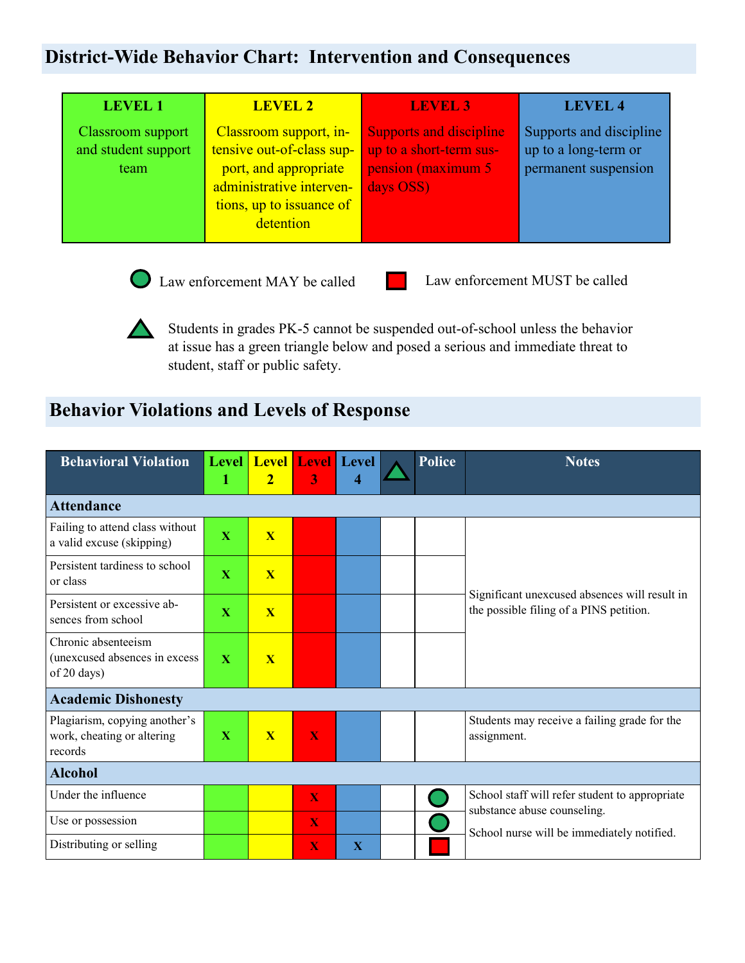## **District-Wide Behavior Chart: Intervention and Consequences**

| <b>LEVEL 1</b>                                   | <b>LEVEL 2</b>                                                                                                                                    | <b>LEVEL 3</b>                                                                               | <b>LEVEL 4</b>                                                          |
|--------------------------------------------------|---------------------------------------------------------------------------------------------------------------------------------------------------|----------------------------------------------------------------------------------------------|-------------------------------------------------------------------------|
| Classroom support<br>and student support<br>team | Classroom support, in-<br>tensive out-of-class sup-<br>port, and appropriate<br>administrative interven-<br>tions, up to issuance of<br>detention | <b>Supports and discipline</b><br>up to a short-term sus-<br>pension (maximum 5<br>days OSS) | Supports and discipline<br>up to a long-term or<br>permanent suspension |



 $\sqrt{2}$ 

Law enforcement MAY be called Law enforcement MUST be called

Students in grades PK-5 cannot be suspended out-of-school unless the behavior at issue has a green triangle below and posed a serious and immediate threat to student, staff or public safety.

## **Behavior Violations and Levels of Response**

| <b>Behavioral Violation</b>                                            | Level  <br>1 | <b>Level</b><br>$\overline{2}$ | 3 | <b>Level</b> Level<br>$\overline{\mathbf{4}}$ |  | <b>Police</b> | <b>Notes</b>                                                                             |  |  |  |  |
|------------------------------------------------------------------------|--------------|--------------------------------|---|-----------------------------------------------|--|---------------|------------------------------------------------------------------------------------------|--|--|--|--|
| <b>Attendance</b>                                                      |              |                                |   |                                               |  |               |                                                                                          |  |  |  |  |
| Failing to attend class without<br>a valid excuse (skipping)           | X            | $\overline{\mathbf{X}}$        |   |                                               |  |               |                                                                                          |  |  |  |  |
| Persistent tardiness to school<br>or class                             | X            | $\overline{\mathbf{X}}$        |   |                                               |  |               |                                                                                          |  |  |  |  |
| Persistent or excessive ab-<br>sences from school                      | $\mathbf X$  | $\overline{\mathbf{X}}$        |   |                                               |  |               | Significant unexcused absences will result in<br>the possible filing of a PINS petition. |  |  |  |  |
| Chronic absenteeism<br>(unexcused absences in excess<br>of 20 days)    | $\mathbf{X}$ | X                              |   |                                               |  |               |                                                                                          |  |  |  |  |
| <b>Academic Dishonesty</b>                                             |              |                                |   |                                               |  |               |                                                                                          |  |  |  |  |
| Plagiarism, copying another's<br>work, cheating or altering<br>records | X            | $\overline{\mathbf{X}}$        | X |                                               |  |               | Students may receive a failing grade for the<br>assignment.                              |  |  |  |  |
| <b>Alcohol</b>                                                         |              |                                |   |                                               |  |               |                                                                                          |  |  |  |  |
| Under the influence                                                    |              |                                | X |                                               |  |               | School staff will refer student to appropriate                                           |  |  |  |  |
| Use or possession                                                      |              |                                | X |                                               |  |               | substance abuse counseling.<br>School nurse will be immediately notified.                |  |  |  |  |
| Distributing or selling                                                |              |                                | X | $\mathbf{X}$                                  |  |               |                                                                                          |  |  |  |  |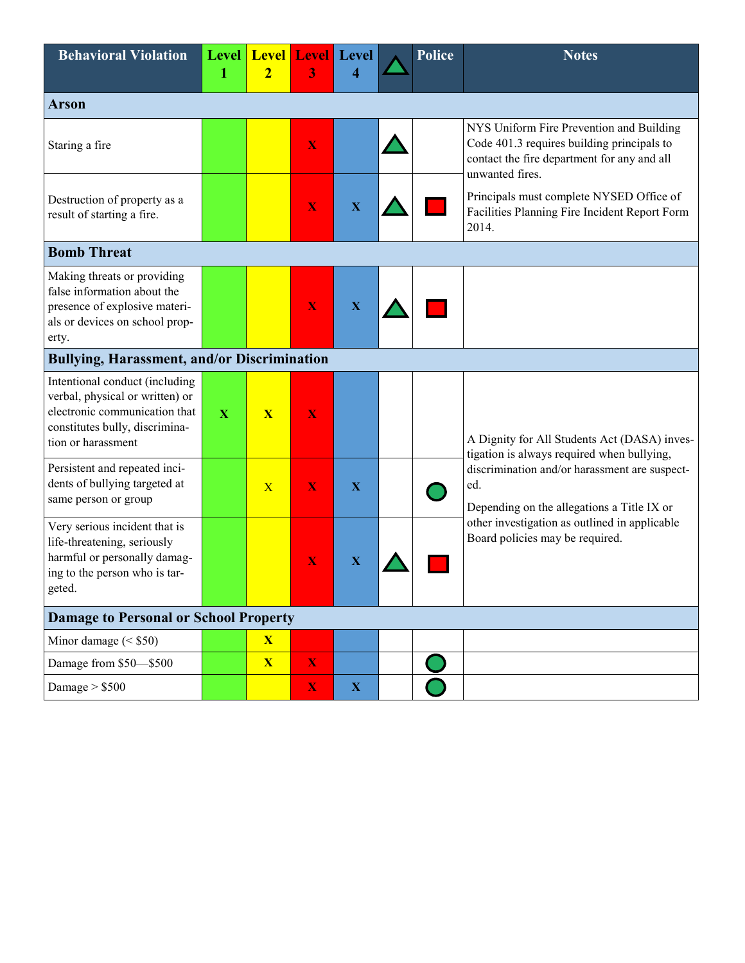| <b>Behavioral Violation</b>                                                                                                                                | <b>Level</b><br>1 | <b>Level</b><br>$\overline{2}$ | <b>Level</b><br>3       | Level<br>4  |  | <b>Police</b> | <b>Notes</b>                                                                                                                                             |  |  |  |  |
|------------------------------------------------------------------------------------------------------------------------------------------------------------|-------------------|--------------------------------|-------------------------|-------------|--|---------------|----------------------------------------------------------------------------------------------------------------------------------------------------------|--|--|--|--|
| <b>Arson</b>                                                                                                                                               |                   |                                |                         |             |  |               |                                                                                                                                                          |  |  |  |  |
| Staring a fire                                                                                                                                             |                   |                                | X                       |             |  |               | NYS Uniform Fire Prevention and Building<br>Code 401.3 requires building principals to<br>contact the fire department for any and all<br>unwanted fires. |  |  |  |  |
| Destruction of property as a<br>result of starting a fire.                                                                                                 |                   |                                | $\overline{\mathbf{X}}$ | $\mathbf X$ |  |               | Principals must complete NYSED Office of<br>Facilities Planning Fire Incident Report Form<br>2014.                                                       |  |  |  |  |
| <b>Bomb Threat</b>                                                                                                                                         |                   |                                |                         |             |  |               |                                                                                                                                                          |  |  |  |  |
| Making threats or providing<br>false information about the<br>presence of explosive materi-<br>als or devices on school prop-<br>erty.                     |                   |                                | X                       | $\mathbf X$ |  |               |                                                                                                                                                          |  |  |  |  |
| <b>Bullying, Harassment, and/or Discrimination</b>                                                                                                         |                   |                                |                         |             |  |               |                                                                                                                                                          |  |  |  |  |
| Intentional conduct (including<br>verbal, physical or written) or<br>electronic communication that<br>constitutes bully, discrimina-<br>tion or harassment | $\mathbf X$       | $\overline{\mathbf{X}}$        | X                       |             |  |               | A Dignity for All Students Act (DASA) inves-<br>tigation is always required when bullying,                                                               |  |  |  |  |
| Persistent and repeated inci-<br>dents of bullying targeted at<br>same person or group                                                                     |                   | $\overline{X}$                 | X                       | $\mathbf X$ |  |               | discrimination and/or harassment are suspect-<br>ed.<br>Depending on the allegations a Title IX or                                                       |  |  |  |  |
| Very serious incident that is<br>life-threatening, seriously<br>harmful or personally damag-<br>ing to the person who is tar-<br>geted.                    |                   |                                | X                       | $\mathbf X$ |  |               | other investigation as outlined in applicable<br>Board policies may be required.                                                                         |  |  |  |  |
| <b>Damage to Personal or School Property</b>                                                                                                               |                   |                                |                         |             |  |               |                                                                                                                                                          |  |  |  |  |
| Minor damage $(<$ \$50)                                                                                                                                    |                   | $\overline{\mathbf{X}}$        |                         |             |  |               |                                                                                                                                                          |  |  |  |  |
| Damage from \$50-\$500                                                                                                                                     |                   | $\overline{\mathbf{X}}$        | $\mathbf X$             |             |  |               |                                                                                                                                                          |  |  |  |  |
| Damage $> $500$                                                                                                                                            |                   |                                | $\mathbf X$             | $\mathbf X$ |  |               |                                                                                                                                                          |  |  |  |  |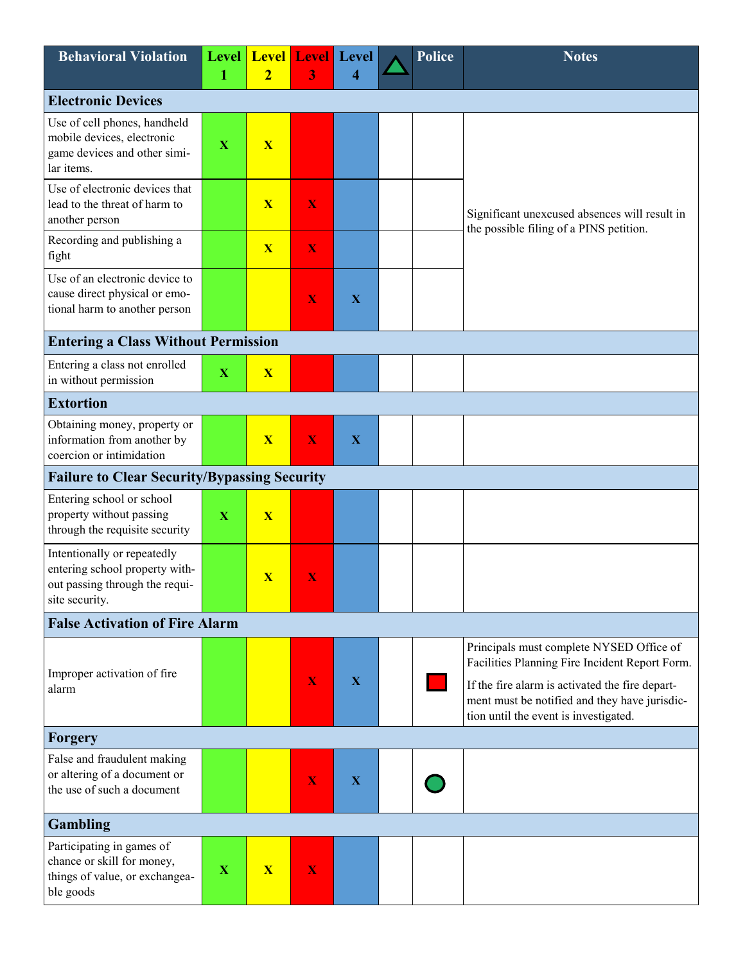| <b>Behavioral Violation</b>                                                                                       | 1           | Level Level<br>$\overline{2}$ | <b>Level</b><br>3 | <b>Level</b><br>4 | <b>Police</b> | <b>Notes</b>                                                                                                                                                                                                                            |
|-------------------------------------------------------------------------------------------------------------------|-------------|-------------------------------|-------------------|-------------------|---------------|-----------------------------------------------------------------------------------------------------------------------------------------------------------------------------------------------------------------------------------------|
| <b>Electronic Devices</b>                                                                                         |             |                               |                   |                   |               |                                                                                                                                                                                                                                         |
| Use of cell phones, handheld<br>mobile devices, electronic<br>game devices and other simi-<br>lar items.          | $\mathbf X$ | $\overline{\mathbf{X}}$       |                   |                   |               |                                                                                                                                                                                                                                         |
| Use of electronic devices that<br>lead to the threat of harm to<br>another person                                 |             | $\overline{\mathbf{X}}$       | X                 |                   |               | Significant unexcused absences will result in<br>the possible filing of a PINS petition.                                                                                                                                                |
| Recording and publishing a<br>fight                                                                               |             | X                             | X                 |                   |               |                                                                                                                                                                                                                                         |
| Use of an electronic device to<br>cause direct physical or emo-<br>tional harm to another person                  |             |                               | X                 | X                 |               |                                                                                                                                                                                                                                         |
| <b>Entering a Class Without Permission</b>                                                                        |             |                               |                   |                   |               |                                                                                                                                                                                                                                         |
| Entering a class not enrolled<br>in without permission                                                            | $\mathbf X$ | $\overline{\mathbf{X}}$       |                   |                   |               |                                                                                                                                                                                                                                         |
| <b>Extortion</b>                                                                                                  |             |                               |                   |                   |               |                                                                                                                                                                                                                                         |
| Obtaining money, property or<br>information from another by<br>coercion or intimidation                           |             | X                             | X                 | $\mathbf X$       |               |                                                                                                                                                                                                                                         |
| <b>Failure to Clear Security/Bypassing Security</b>                                                               |             |                               |                   |                   |               |                                                                                                                                                                                                                                         |
| Entering school or school<br>property without passing<br>through the requisite security                           | $\mathbf X$ | $\overline{\mathbf{X}}$       |                   |                   |               |                                                                                                                                                                                                                                         |
| Intentionally or repeatedly<br>entering school property with-<br>out passing through the requi-<br>site security. |             | X                             | X                 |                   |               |                                                                                                                                                                                                                                         |
| <b>False Activation of Fire Alarm</b>                                                                             |             |                               |                   |                   |               |                                                                                                                                                                                                                                         |
| Improper activation of fire<br>alarm                                                                              |             |                               | X                 | X                 |               | Principals must complete NYSED Office of<br>Facilities Planning Fire Incident Report Form.<br>If the fire alarm is activated the fire depart-<br>ment must be notified and they have jurisdic-<br>tion until the event is investigated. |
| Forgery                                                                                                           |             |                               |                   |                   |               |                                                                                                                                                                                                                                         |
| False and fraudulent making<br>or altering of a document or<br>the use of such a document                         |             |                               | X                 | $\mathbf X$       |               |                                                                                                                                                                                                                                         |
| <b>Gambling</b>                                                                                                   |             |                               |                   |                   |               |                                                                                                                                                                                                                                         |
| Participating in games of<br>chance or skill for money,<br>things of value, or exchangea-<br>ble goods            | $\mathbf X$ | $\overline{\mathbf{X}}$       | X                 |                   |               |                                                                                                                                                                                                                                         |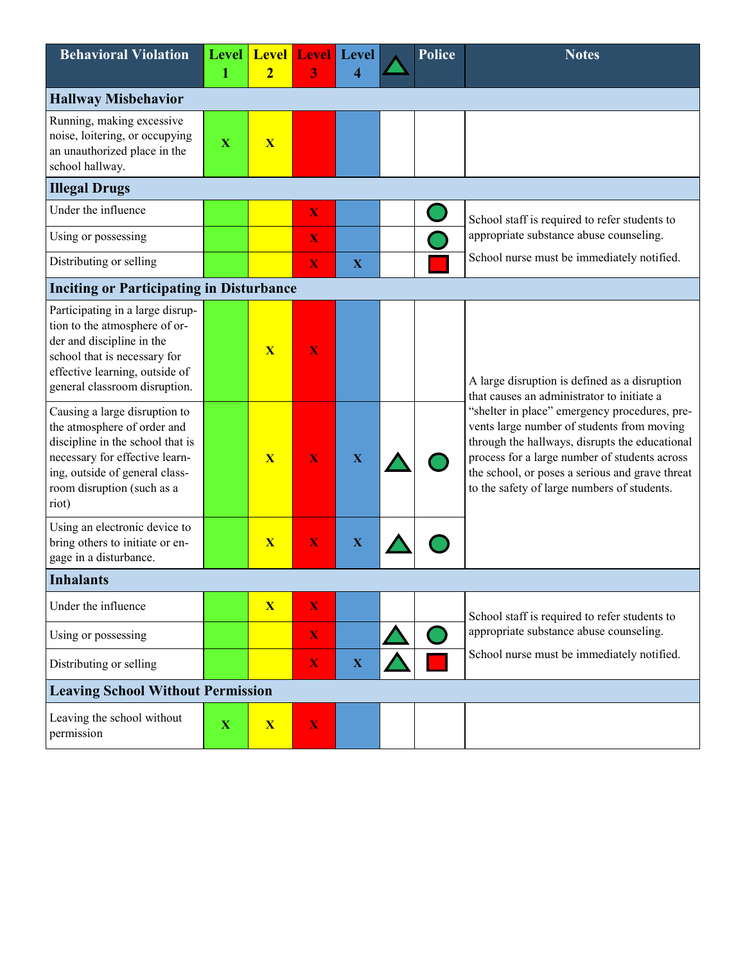| <b>Behavioral Violation</b>                                                                                                                                                                                 | <b>Level</b><br>1 | <b>Level</b><br>$\overline{2}$ | 3                       | <b>Level</b> Level<br>4 |  | <b>Police</b> | <b>Notes</b>                                                                                                                                                                                                                                                                                     |  |  |  |
|-------------------------------------------------------------------------------------------------------------------------------------------------------------------------------------------------------------|-------------------|--------------------------------|-------------------------|-------------------------|--|---------------|--------------------------------------------------------------------------------------------------------------------------------------------------------------------------------------------------------------------------------------------------------------------------------------------------|--|--|--|
| <b>Hallway Misbehavior</b>                                                                                                                                                                                  |                   |                                |                         |                         |  |               |                                                                                                                                                                                                                                                                                                  |  |  |  |
| Running, making excessive<br>noise, loitering, or occupying<br>an unauthorized place in the<br>school hallway.                                                                                              | $\mathbf X$       | $\overline{\mathbf{X}}$        |                         |                         |  |               |                                                                                                                                                                                                                                                                                                  |  |  |  |
| <b>Illegal Drugs</b>                                                                                                                                                                                        |                   |                                |                         |                         |  |               |                                                                                                                                                                                                                                                                                                  |  |  |  |
| Under the influence                                                                                                                                                                                         |                   |                                | $\mathbf X$             |                         |  |               | School staff is required to refer students to                                                                                                                                                                                                                                                    |  |  |  |
| Using or possessing                                                                                                                                                                                         |                   |                                | $\mathbf X$             |                         |  |               | appropriate substance abuse counseling.                                                                                                                                                                                                                                                          |  |  |  |
| Distributing or selling                                                                                                                                                                                     |                   |                                | $\mathbf X$             | $\mathbf X$             |  |               | School nurse must be immediately notified.                                                                                                                                                                                                                                                       |  |  |  |
| <b>Inciting or Participating in Disturbance</b>                                                                                                                                                             |                   |                                |                         |                         |  |               |                                                                                                                                                                                                                                                                                                  |  |  |  |
| Participating in a large disrup-<br>tion to the atmosphere of or-<br>der and discipline in the<br>school that is necessary for<br>effective learning, outside of<br>general classroom disruption.           |                   | X                              | X                       |                         |  |               | A large disruption is defined as a disruption<br>that causes an administrator to initiate a                                                                                                                                                                                                      |  |  |  |
| Causing a large disruption to<br>the atmosphere of order and<br>discipline in the school that is<br>necessary for effective learn-<br>ing, outside of general class-<br>room disruption (such as a<br>riot) |                   | $\overline{\mathbf{X}}$        | X                       | $\mathbf X$             |  |               | "shelter in place" emergency procedures, pre-<br>vents large number of students from moving<br>through the hallways, disrupts the educational<br>process for a large number of students across<br>the school, or poses a serious and grave threat<br>to the safety of large numbers of students. |  |  |  |
| Using an electronic device to<br>bring others to initiate or en-<br>gage in a disturbance.                                                                                                                  |                   | $\mathbf{X}$                   | X                       | $\mathbf X$             |  |               |                                                                                                                                                                                                                                                                                                  |  |  |  |
| <b>Inhalants</b>                                                                                                                                                                                            |                   |                                |                         |                         |  |               |                                                                                                                                                                                                                                                                                                  |  |  |  |
| Under the influence                                                                                                                                                                                         |                   | X                              | X                       |                         |  |               | School staff is required to refer students to                                                                                                                                                                                                                                                    |  |  |  |
| Using or possessing                                                                                                                                                                                         |                   |                                | $\mathbf X$             |                         |  |               | appropriate substance abuse counseling.                                                                                                                                                                                                                                                          |  |  |  |
| Distributing or selling                                                                                                                                                                                     |                   |                                | $\mathbf X$             | $\mathbf X$             |  |               | School nurse must be immediately notified.                                                                                                                                                                                                                                                       |  |  |  |
| <b>Leaving School Without Permission</b>                                                                                                                                                                    |                   |                                |                         |                         |  |               |                                                                                                                                                                                                                                                                                                  |  |  |  |
| Leaving the school without<br>permission                                                                                                                                                                    | $\mathbf X$       | X                              | $\overline{\mathbf{X}}$ |                         |  |               |                                                                                                                                                                                                                                                                                                  |  |  |  |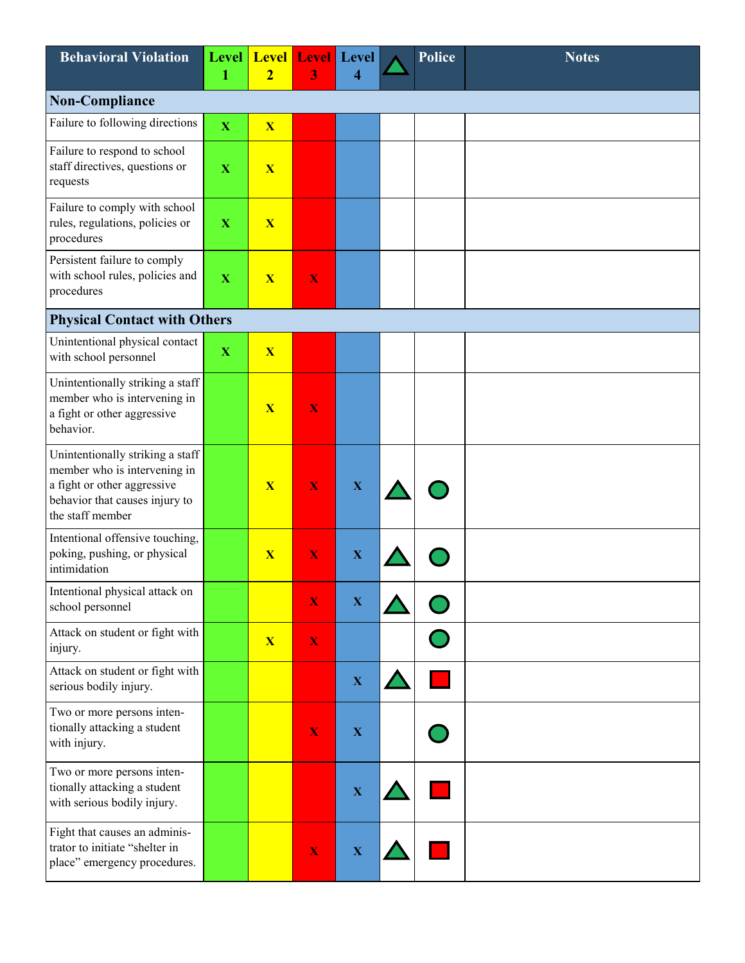| <b>Behavioral Violation</b>                                                                                                                           | <b>Level</b><br>1 | <b>Level</b><br>$\overline{2}$ | <b>Level</b><br>3       | <b>Level</b><br>4 | <b>Police</b> | <b>Notes</b> |
|-------------------------------------------------------------------------------------------------------------------------------------------------------|-------------------|--------------------------------|-------------------------|-------------------|---------------|--------------|
| <b>Non-Compliance</b>                                                                                                                                 |                   |                                |                         |                   |               |              |
| Failure to following directions                                                                                                                       | $\mathbf X$       | $\overline{\mathbf{X}}$        |                         |                   |               |              |
| Failure to respond to school<br>staff directives, questions or<br>requests                                                                            | $\mathbf X$       | $\overline{\mathbf{X}}$        |                         |                   |               |              |
| Failure to comply with school<br>rules, regulations, policies or<br>procedures                                                                        | $\mathbf X$       | $\overline{\mathbf{X}}$        |                         |                   |               |              |
| Persistent failure to comply<br>with school rules, policies and<br>procedures                                                                         | $\mathbf X$       | $\overline{\mathbf{X}}$        | X                       |                   |               |              |
| <b>Physical Contact with Others</b>                                                                                                                   |                   |                                |                         |                   |               |              |
| Unintentional physical contact<br>with school personnel                                                                                               | $\mathbf X$       | $\overline{\mathbf{X}}$        |                         |                   |               |              |
| Unintentionally striking a staff<br>member who is intervening in<br>a fight or other aggressive<br>behavior.                                          |                   | X                              | X                       |                   |               |              |
| Unintentionally striking a staff<br>member who is intervening in<br>a fight or other aggressive<br>behavior that causes injury to<br>the staff member |                   | X                              | X                       | $\mathbf X$       |               |              |
| Intentional offensive touching,<br>poking, pushing, or physical<br>intimidation                                                                       |                   | $\mathbf{X}$                   | X                       | $\mathbf X$       |               |              |
| Intentional physical attack on<br>school personnel                                                                                                    |                   |                                | X                       | $\mathbf X$       |               |              |
| Attack on student or fight with<br>injury.                                                                                                            |                   | $\overline{\mathbf{X}}$        | $\overline{\mathbf{X}}$ |                   |               |              |
| Attack on student or fight with<br>serious bodily injury.                                                                                             |                   |                                |                         | $\mathbf X$       |               |              |
| Two or more persons inten-<br>tionally attacking a student<br>with injury.                                                                            |                   |                                | $\mathbf X$             | $\mathbf X$       |               |              |
| Two or more persons inten-<br>tionally attacking a student<br>with serious bodily injury.                                                             |                   |                                |                         | $\mathbf X$       |               |              |
| Fight that causes an adminis-<br>trator to initiate "shelter in<br>place" emergency procedures.                                                       |                   |                                | $\mathbf X$             | $\mathbf X$       |               |              |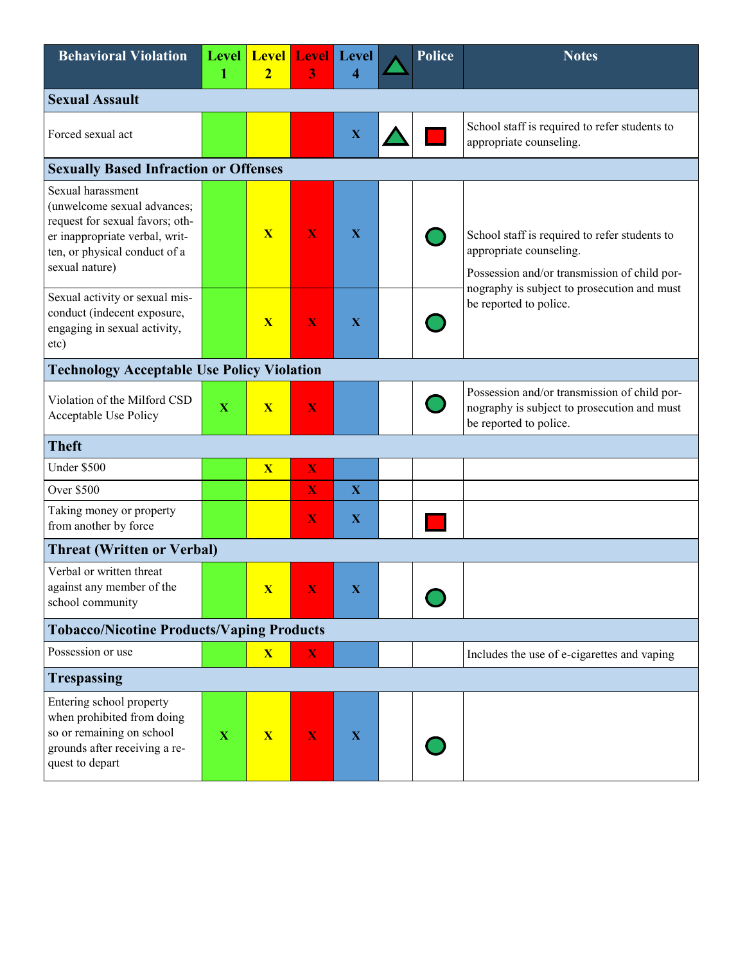| <b>Behavioral Violation</b>                                                                                                                                              | <b>Level</b><br>1 | <b>Level Level Level</b><br>$\overline{2}$ | 3                       | 4            |  | Police | <b>Notes</b>                                                                                                             |  |  |
|--------------------------------------------------------------------------------------------------------------------------------------------------------------------------|-------------------|--------------------------------------------|-------------------------|--------------|--|--------|--------------------------------------------------------------------------------------------------------------------------|--|--|
| <b>Sexual Assault</b>                                                                                                                                                    |                   |                                            |                         |              |  |        |                                                                                                                          |  |  |
| Forced sexual act                                                                                                                                                        |                   |                                            |                         | $\mathbf X$  |  |        | School staff is required to refer students to<br>appropriate counseling.                                                 |  |  |
| <b>Sexually Based Infraction or Offenses</b>                                                                                                                             |                   |                                            |                         |              |  |        |                                                                                                                          |  |  |
| Sexual harassment<br>(unwelcome sexual advances;<br>request for sexual favors; oth-<br>er inappropriate verbal, writ-<br>ten, or physical conduct of a<br>sexual nature) |                   | $\overline{\mathbf{X}}$                    | X                       | $\mathbf X$  |  |        | School staff is required to refer students to<br>appropriate counseling.<br>Possession and/or transmission of child por- |  |  |
| Sexual activity or sexual mis-<br>conduct (indecent exposure,<br>engaging in sexual activity,<br>etc)                                                                    |                   | $\mathbf{X}$                               | X                       | $\mathbf X$  |  |        | nography is subject to prosecution and must<br>be reported to police.                                                    |  |  |
| <b>Technology Acceptable Use Policy Violation</b>                                                                                                                        |                   |                                            |                         |              |  |        |                                                                                                                          |  |  |
| Violation of the Milford CSD<br>Acceptable Use Policy                                                                                                                    | $\mathbf X$       | $\overline{\mathbf{X}}$                    | X                       |              |  |        | Possession and/or transmission of child por-<br>nography is subject to prosecution and must<br>be reported to police.    |  |  |
| <b>Theft</b>                                                                                                                                                             |                   |                                            |                         |              |  |        |                                                                                                                          |  |  |
| Under \$500                                                                                                                                                              |                   | $\overline{\mathbf{X}}$                    | $\mathbf X$             |              |  |        |                                                                                                                          |  |  |
| <b>Over \$500</b>                                                                                                                                                        |                   |                                            | $\overline{\mathbf{X}}$ | $\mathbf X$  |  |        |                                                                                                                          |  |  |
| Taking money or property<br>from another by force                                                                                                                        |                   |                                            | X                       | $\mathbf{X}$ |  |        |                                                                                                                          |  |  |
| <b>Threat (Written or Verbal)</b>                                                                                                                                        |                   |                                            |                         |              |  |        |                                                                                                                          |  |  |
| Verbal or written threat<br>against any member of the<br>school community                                                                                                |                   | $\mathbf{X}$                               |                         |              |  |        |                                                                                                                          |  |  |
| <b>Tobacco/Nicotine Products/Vaping Products</b>                                                                                                                         |                   |                                            |                         |              |  |        |                                                                                                                          |  |  |
| Possession or use                                                                                                                                                        |                   | $\overline{\mathbf{X}}$                    | $\mathbf X$             |              |  |        | Includes the use of e-cigarettes and vaping                                                                              |  |  |
| <b>Trespassing</b>                                                                                                                                                       |                   |                                            |                         |              |  |        |                                                                                                                          |  |  |
| Entering school property<br>when prohibited from doing<br>so or remaining on school<br>grounds after receiving a re-<br>quest to depart                                  | $\mathbf X$       | $\mathbf{X}$                               | $\mathbf X$             | $\mathbf X$  |  |        |                                                                                                                          |  |  |